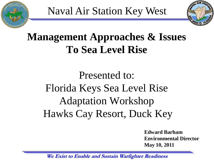



# **Management Approaches & Issues To Sea Level Rise**

# Presented to: Florida Keys Sea Level Rise Adaptation Workshop Hawks Cay Resort, Duck Key

**Edward Barham Environmental Director May 10, 2011**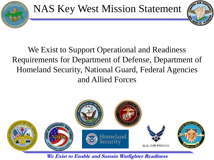

### We Exist to Support Operational and Readiness Requirements for Department of Defense, Department of Homeland Security, National Guard, Federal Agencies and Allied Forces

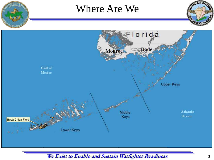

### Where Are We



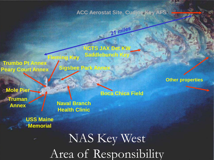**ACC Aerostat Site, Cudjoe Key AFS**

21 miles

**NCTS JAX Det KW Saddlebunch Key Fleming Key**

**Trumbo Pt Annex Peary Court Annex**

**Mole Pier Truman Annex**

**Naval Branch Health Clinic**

**Sigsbee Park Annex**

**USS Maine Memorial**

**Boca Chica Field**

Area of Responsibility NAS Key West

**Other properties**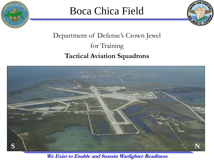

### Boca Chica Field



### Department of Defense's Crown Jewel for Training **Tactical Aviation Squadrons**

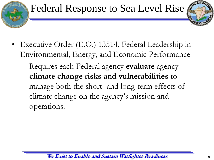## Federal Response to Sea Level Rise



- Executive Order (E.O.) 13514, Federal Leadership in Environmental, Energy, and Economic Performance
	- Requires each Federal agency **evaluate** agency **climate change risks and vulnerabilities** to manage both the short- and long-term effects of climate change on the agency's mission and operations.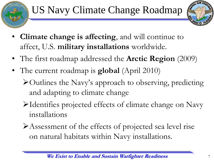# US Navy Climate Change Roadmap



- **Climate change is affecting**, and will continue to affect, U.S. **military installations** worldwide.
- The first roadmap addressed the **Arctic Region** (2009)
- The current roadmap is **global** (April 2010)
	- Outlines the Navy's approach to observing, predicting and adapting to climate change
	- Identifies projected effects of climate change on Navy installations
	- Assessment of the effects of projected sea level rise on natural habitats within Navy installations.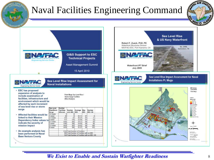

- · Affected facilities would be linked to their Mission Dependency Index values to indicate the severity of mission impact
- An example analysis has been performed at Naval **Base Ventura County**

**Burgo** /2 moter meter 43.11<br>43.27 .5 meter 133  $717$ 176 52.56  $07$ meter 5 meter 1303 285  $54.51$  $\overline{\theta}$ 1380 300 54.69  $\overline{\omega}$ meter 1424<br>1439 54.92 3.5 meter 30.  $\frac{100}{103}$ 4 meter 1530 Total Number of Facilities 308 Total Number of Facilities with an MDI 104 Total Number of Facilities with an MDI >8

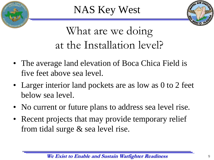



# What are we doing at the Installation level?

- The average land elevation of Boca Chica Field is five feet above sea level.
- Larger interior land pockets are as low as 0 to 2 feet below sea level.
- No current or future plans to address sea level rise.
- Recent projects that may provide temporary relief from tidal surge & sea level rise.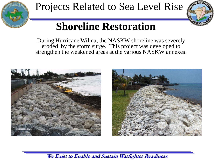

### Projects Related to Sea Level Rise



## **Shoreline Restoration**

During Hurricane Wilma, the NASKW shoreline was severely eroded by the storm surge. This project was developed to strengthen the weakened areas at the various NASKW annexes.



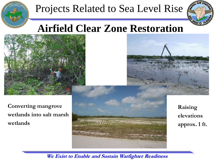

## Projects Related to Sea Level Rise



### **Airfield Clear Zone Restoration**





**Converting mangrove wetlands into salt marsh wetlands**



**Raising elevations approx. 1 ft.**

**We Exist to Enable and Sustain Warfighter Readiness**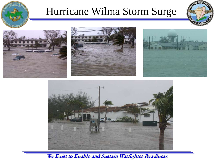

### Hurricane Wilma Storm Surge











**We Exist to Enable and Sustain Warfighter Readiness**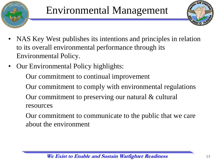



- NAS Key West publishes its intentions and principles in relation to its overall environmental performance through its Environmental Policy.
- Our Environmental Policy highlights:

Our commitment to continual improvement

Our commitment to comply with environmental regulations

Our commitment to preserving our natural & cultural resources

Our commitment to communicate to the public that we care about the environment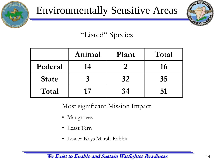





### "Listed" Species

|              | Animal | Plant | Total |
|--------------|--------|-------|-------|
| Federal      | 14     |       | 16    |
| <b>State</b> |        | 32    | 35    |
| Total        | 17     | 34    | 51    |

Most significant Mission Impact

- Mangroves
- Least Tern
- Lower Keys Marsh Rabbit

**We Exist to Enable and Sustain Warfighter Readiness** 14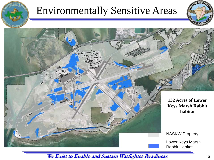## Environmentally Sensitive Areas





**We Exist to Enable and Sustain Warfighter Readiness** 15